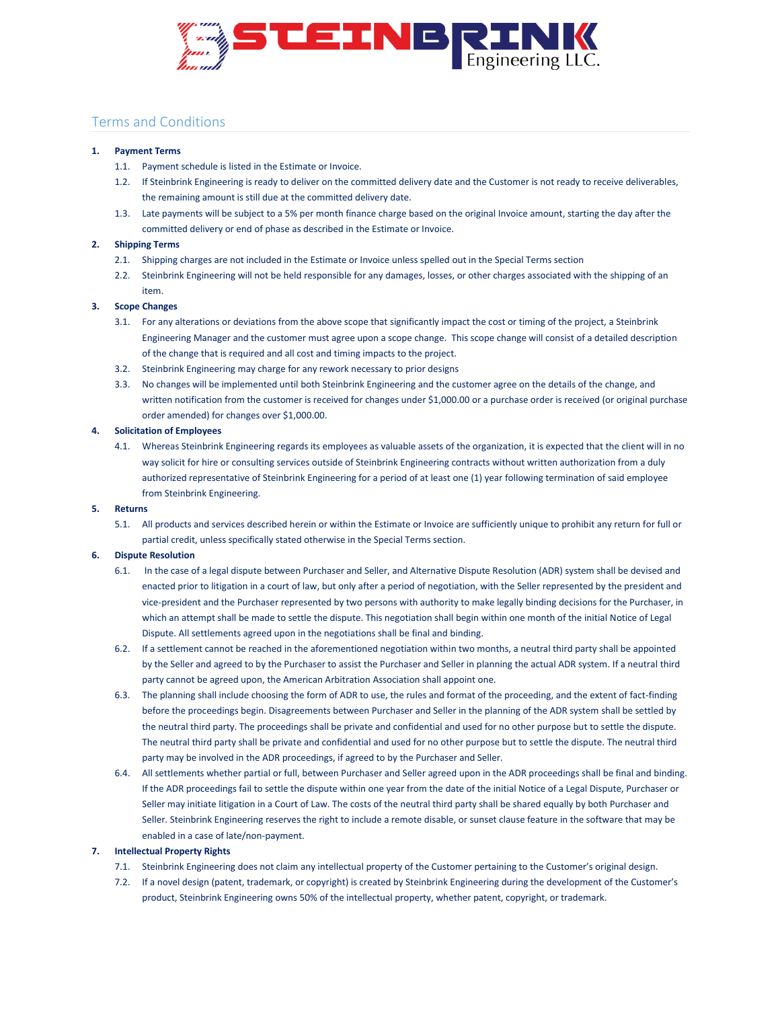

# Terms and Conditions

# **1. Payment Terms**

- 1.1. Payment schedule is listed in the Estimate or Invoice.
- 1.2. If Steinbrink Engineering is ready to deliver on the committed delivery date and the Customer is not ready to receive deliverables, the remaining amount is still due at the committed delivery date.
- 1.3. Late payments will be subject to a 5% per month finance charge based on the original Invoice amount, starting the day after the committed delivery or end of phase as described in the Estimate or Invoice.

# **2. Shipping Terms**

- 2.1. Shipping charges are not included in the Estimate or Invoice unless spelled out in the Special Terms section
- 2.2. Steinbrink Engineering will not be held responsible for any damages, losses, or other charges associated with the shipping of an item.

## **3. Scope Changes**

- 3.1. For any alterations or deviations from the above scope that significantly impact the cost or timing of the project, a Steinbrink Engineering Manager and the customer must agree upon a scope change. This scope change will consist of a detailed description of the change that is required and all cost and timing impacts to the project.
- 3.2. Steinbrink Engineering may charge for any rework necessary to prior designs
- 3.3. No changes will be implemented until both Steinbrink Engineering and the customer agree on the details of the change, and written notification from the customer is received for changes under \$1,000.00 or a purchase order is received (or original purchase order amended) for changes over \$1,000.00.

## **4. Solicitation of Employees**

4.1. Whereas Steinbrink Engineering regards its employees as valuable assets of the organization, it is expected that the client will in no way solicit for hire or consulting services outside of Steinbrink Engineering contracts without written authorization from a duly authorized representative of Steinbrink Engineering for a period of at least one (1) year following termination of said employee from Steinbrink Engineering.

## **5. Returns**

5.1. All products and services described herein or within the Estimate or Invoice are sufficiently unique to prohibit any return for full or partial credit, unless specifically stated otherwise in the Special Terms section.

#### **6. Dispute Resolution**

- 6.1. In the case of a legal dispute between Purchaser and Seller, and Alternative Dispute Resolution (ADR) system shall be devised and enacted prior to litigation in a court of law, but only after a period of negotiation, with the Seller represented by the president and vice-president and the Purchaser represented by two persons with authority to make legally binding decisions for the Purchaser, in which an attempt shall be made to settle the dispute. This negotiation shall begin within one month of the initial Notice of Legal Dispute. All settlements agreed upon in the negotiations shall be final and binding.
- 6.2. If a settlement cannot be reached in the aforementioned negotiation within two months, a neutral third party shall be appointed by the Seller and agreed to by the Purchaser to assist the Purchaser and Seller in planning the actual ADR system. If a neutral third party cannot be agreed upon, the American Arbitration Association shall appoint one.
- 6.3. The planning shall include choosing the form of ADR to use, the rules and format of the proceeding, and the extent of fact-finding before the proceedings begin. Disagreements between Purchaser and Seller in the planning of the ADR system shall be settled by the neutral third party. The proceedings shall be private and confidential and used for no other purpose but to settle the dispute. The neutral third party shall be private and confidential and used for no other purpose but to settle the dispute. The neutral third party may be involved in the ADR proceedings, if agreed to by the Purchaser and Seller.
- 6.4. All settlements whether partial or full, between Purchaser and Seller agreed upon in the ADR proceedings shall be final and binding. If the ADR proceedings fail to settle the dispute within one year from the date of the initial Notice of a Legal Dispute, Purchaser or Seller may initiate litigation in a Court of Law. The costs of the neutral third party shall be shared equally by both Purchaser and Seller. Steinbrink Engineering reserves the right to include a remote disable, or sunset clause feature in the software that may be enabled in a case of late/non-payment.

#### **7. Intellectual Property Rights**

- 7.1. Steinbrink Engineering does not claim any intellectual property of the Customer pertaining to the Customer's original design.
- 7.2. If a novel design (patent, trademark, or copyright) is created by Steinbrink Engineering during the development of the Customer's product, Steinbrink Engineering owns 50% of the intellectual property, whether patent, copyright, or trademark.